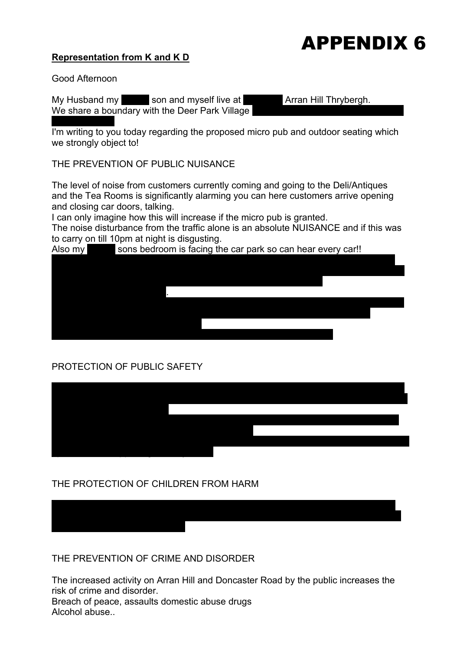#### **Representation from K and K D**



Good Afternoon

My Husband my son and myself live at **Arran Hill Thrybergh.** We share a boundary with the Deer Park Village

of our property. I'm writing to you today regarding the proposed micro pub and outdoor seating which we strongly object to!

THE PREVENTION OF PUBLIC NUISANCE

The level of noise from customers currently coming and going to the Deli/Antiques and the Tea Rooms is significantly alarming you can here customers arrive opening and closing car doors, talking.

I can only imagine how this will increase if the micro pub is granted.

The noise disturbance from the traffic alone is an absolute NUISANCE and if this was to carry on till 10pm at night is disgusting.

Also my sons bedroom is facing the car park so can hear every car!!

### PROTECTION OF PUBLIC SAFETY

so busy and the added pollution.



#### THE PROTECTION OF CHILDREN FROM HARM

THE PREVENTION OF CRIME AND DISORDER

The increased activity on Arran Hill and Doncaster Road by the public increases the risk of crime and disorder.

There is an increased risk of a child coming to harm or a resident with the increased volume of traffic. Currently I wouldn't let my son play on our drive due the traffic being

Breach of peace, assaults domestic abuse drugs Alcohol abuse..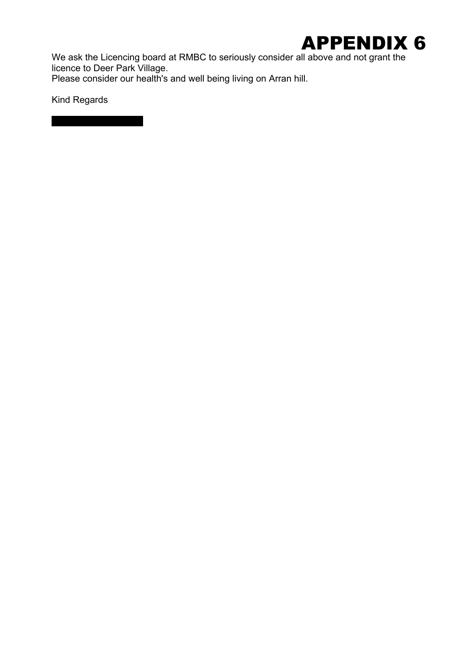

We ask the Licencing board at RMBC to seriously consider all above and not grant the licence to Deer Park Village.

Please consider our health's and well being living on Arran hill.

Kind Regards

Kerry and Kirk Denton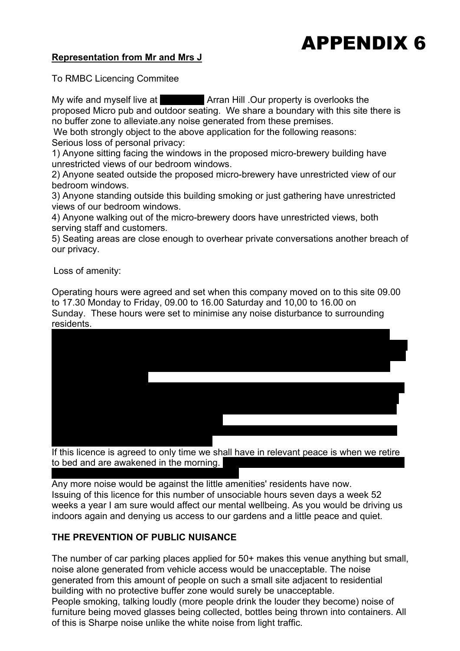#### **Representation from Mr and Mrs J**

To RMBC Licencing Commitee

My wife and myself live at **Number 13 Arran Hill .Our property is overlooks the** proposed Micro pub and outdoor seating. We share a boundary with this site there is no buffer zone to alleviate.any noise generated from these premises.

We both strongly object to the above application for the following reasons: Serious loss of personal privacy:

1) Anyone sitting facing the windows in the proposed micro-brewery building have unrestricted views of our bedroom windows.

2) Anyone seated outside the proposed micro-brewery have unrestricted view of our bedroom windows.

3) Anyone standing outside this building smoking or just gathering have unrestricted views of our bedroom windows.

4) Anyone walking out of the micro-brewery doors have unrestricted views, both serving staff and customers.

5) Seating areas are close enough to overhear private conversations another breach of our privacy.

Loss of amenity:

Operating hours were agreed and set when this company moved on to this site 09.00 to 17.30 Monday to Friday, 09.00 to 16.00 Saturday and 10,00 to 16.00 on Sunday. These hours were set to minimise any noise disturbance to surrounding residents.



If this licence is agreed to only time we shall have in relevant peace is when we retire to bed and are awakened in the morning. not to roll steel bars in the middle of the night.

Any more noise would be against the little amenities' residents have now. Issuing of this licence for this number of unsociable hours seven days a week 52 weeks a year I am sure would affect our mental wellbeing. As you would be driving us indoors again and denying us access to our gardens and a little peace and quiet.

#### **THE PREVENTION OF PUBLIC NUISANCE**

The number of car parking places applied for 50+ makes this venue anything but small, noise alone generated from vehicle access would be unacceptable. The noise generated from this amount of people on such a small site adjacent to residential building with no protective buffer zone would surely be unacceptable. People smoking, talking loudly (more people drink the louder they become) noise of furniture being moved glasses being collected, bottles being thrown into containers. All of this is Sharpe noise unlike the white noise from light traffic.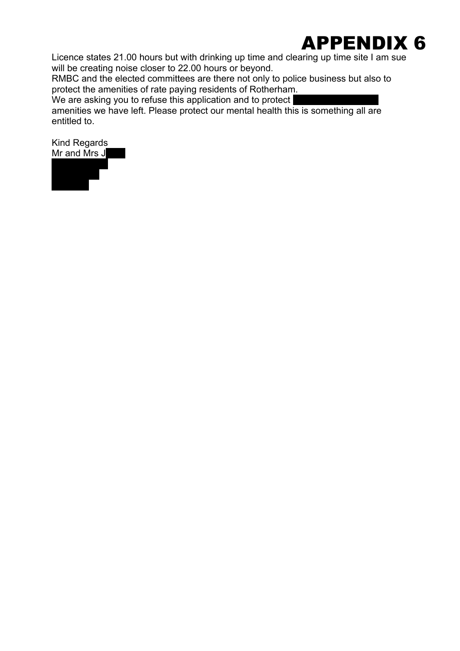Licence states 21.00 hours but with drinking up time and clearing up time site I am sue will be creating noise closer to 22.00 hours or beyond.

RMBC and the elected committees are there not only to police business but also to protect the amenities of rate paying residents of Rotherham.

We are asking you to refuse this application and to protect

amenities we have left. Please protect our mental health this is something all are entitled to.

Kind Regards Mr and  $\tilde{M}$ rs J $\blacksquare$ 

S65 4BH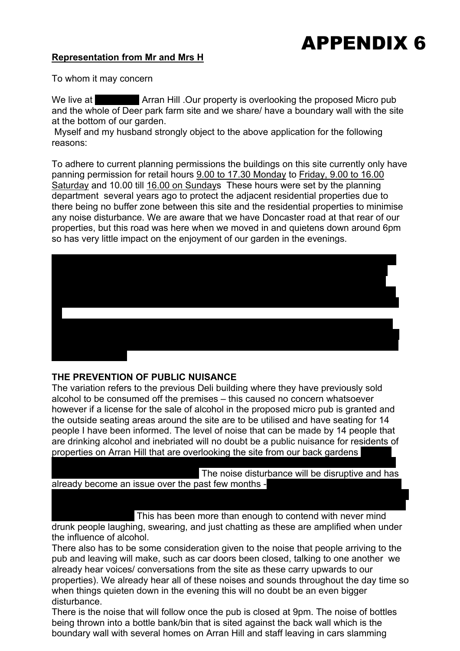#### **Representation from Mr and Mrs H**

To whom it may concern

We live at **Number 11 Arran Hill .Our property is overlooking the proposed Micro pub** and the whole of Deer park farm site and we share/ have a boundary wall with the site at the bottom of our garden.

 Myself and my husband strongly object to the above application for the following reasons:

To adhere to current planning permissions the buildings on this site currently only have panning permission for retail hours 9.00 to 17.30 Monday to Friday, 9.00 to 16.00 Saturday and 10.00 till 16.00 on Sundays These hours were set by the planning department several years ago to protect the adjacent residential properties due to there being no buffer zone between this site and the residential properties to minimise any noise disturbance. We are aware that we have Doncaster road at that rear of our properties, but this road was here when we moved in and quietens down around 6pm so has very little impact on the enjoyment of our garden in the evenings.



#### **THE PREVENTION OF PUBLIC NUISANCE**

The variation refers to the previous Deli building where they have previously sold alcohol to be consumed off the premises – this caused no concern whatsoever however if a license for the sale of alcohol in the proposed micro pub is granted and the outside seating areas around the site are to be utilised and have seating for 14 people I have been informed. The level of noise that can be made by 14 people that are drinking alcohol and inebriated will no doubt be a public nuisance for residents of properties on Arran Hill that are overlooking the site from our back gardens

prove to be an unacceptable breach of our privacy whilst not only in our gardens but The noise disturbance will be disruptive and has already become an issue over the past few months -

site, banging, drilling, car doors slamming, deliveries and a very persistent barking dog

which does so every time someone enters the car park or a large/noisy vehicle passes This has been more than enough to contend with never mind drunk people laughing, swearing, and just chatting as these are amplified when under the influence of alcohol.

There also has to be some consideration given to the noise that people arriving to the pub and leaving will make, such as car doors been closed, talking to one another we already hear voices/ conversations from the site as these carry upwards to our properties). We already hear all of these noises and sounds throughout the day time so when things quieten down in the evening this will no doubt be an even bigger disturbance.

There is the noise that will follow once the pub is closed at 9pm. The noise of bottles being thrown into a bottle bank/bin that is sited against the back wall which is the boundary wall with several homes on Arran Hill and staff leaving in cars slamming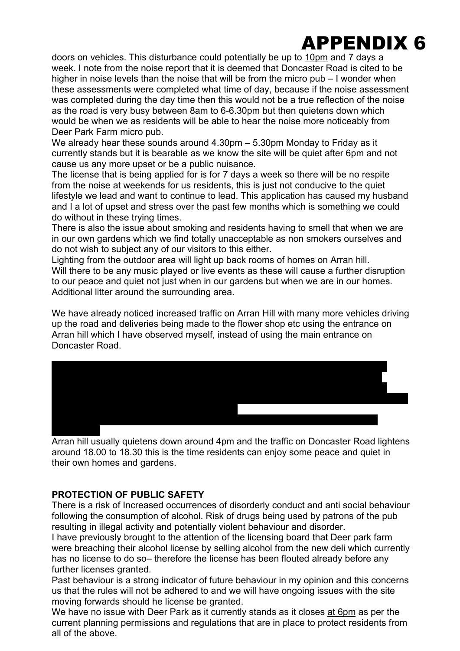doors on vehicles. This disturbance could potentially be up to 10pm and 7 days a week. I note from the noise report that it is deemed that Doncaster Road is cited to be higher in noise levels than the noise that will be from the micro pub – I wonder when these assessments were completed what time of day, because if the noise assessment was completed during the day time then this would not be a true reflection of the noise as the road is very busy between 8am to 6-6.30pm but then quietens down which would be when we as residents will be able to hear the noise more noticeably from Deer Park Farm micro pub.

We already hear these sounds around 4.30pm – 5.30pm Monday to Friday as it currently stands but it is bearable as we know the site will be quiet after 6pm and not cause us any more upset or be a public nuisance.

The license that is being applied for is for 7 days a week so there will be no respite from the noise at weekends for us residents, this is just not conducive to the quiet lifestyle we lead and want to continue to lead. This application has caused my husband and I a lot of upset and stress over the past few months which is something we could do without in these trying times.

There is also the issue about smoking and residents having to smell that when we are in our own gardens which we find totally unacceptable as non smokers ourselves and do not wish to subject any of our visitors to this either.

Lighting from the outdoor area will light up back rooms of homes on Arran hill. Will there to be any music played or live events as these will cause a further disruption to our peace and quiet not just when in our gardens but when we are in our homes. Additional litter around the surrounding area.

We have already noticed increased traffic on Arran Hill with many more vehicles driving up the road and deliveries being made to the flower shop etc using the entrance on Arran hill which I have observed myself, instead of using the main entrance on Doncaster Road.



Arran hill usually quietens down around 4pm and the traffic on Doncaster Road lightens around 18.00 to 18.30 this is the time residents can enjoy some peace and quiet in their own homes and gardens.

#### **PROTECTION OF PUBLIC SAFETY**

There is a risk of Increased occurrences of disorderly conduct and anti social behaviour following the consumption of alcohol. Risk of drugs being used by patrons of the pub resulting in illegal activity and potentially violent behaviour and disorder.

I have previously brought to the attention of the licensing board that Deer park farm were breaching their alcohol license by selling alcohol from the new deli which currently has no license to do so– therefore the license has been flouted already before any further licenses granted.

Past behaviour is a strong indicator of future behaviour in my opinion and this concerns us that the rules will not be adhered to and we will have ongoing issues with the site moving forwards should he license be granted.

We have no issue with Deer Park as it currently stands as it closes at 6pm as per the current planning permissions and regulations that are in place to protect residents from all of the above.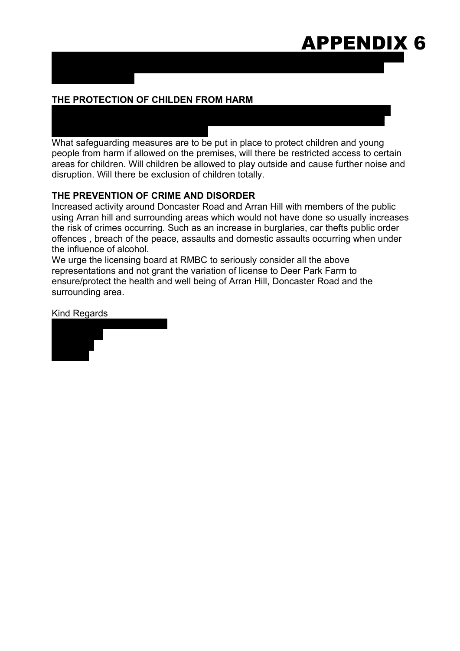### The new car park area is causing an issue also as this has an entry point on Arran Hill APPENDIX 6

### **THE PROTECTION OF CHILDEN FROM HARM**

accidents occurring involving children. What safeguarding measures are to be put in place to protect children and young people from harm if allowed on the premises, will there be restricted access to certain areas for children. Will children be allowed to play outside and cause further noise and disruption. Will there be exclusion of children totally.

and is causing an obstruction- reduced vision when trying to get out in cars at the

There is the school at the school at the school at the increase in cars, vanishes in cars, vans and people in using the car park which is already taking place might I add , increases the risk of

#### **THE PREVENTION OF CRIME AND DISORDER**

Increased activity around Doncaster Road and Arran Hill with members of the public using Arran hill and surrounding areas which would not have done so usually increases the risk of crimes occurring. Such as an increase in burglaries, car thefts public order offences , breach of the peace, assaults and domestic assaults occurring when under the influence of alcohol.

We urge the licensing board at RMBC to seriously consider all the above representations and not grant the variation of license to Deer Park Farm to ensure/protect the health and well being of Arran Hill, Doncaster Road and the surrounding area.

Kind Regards

bottom of the street.

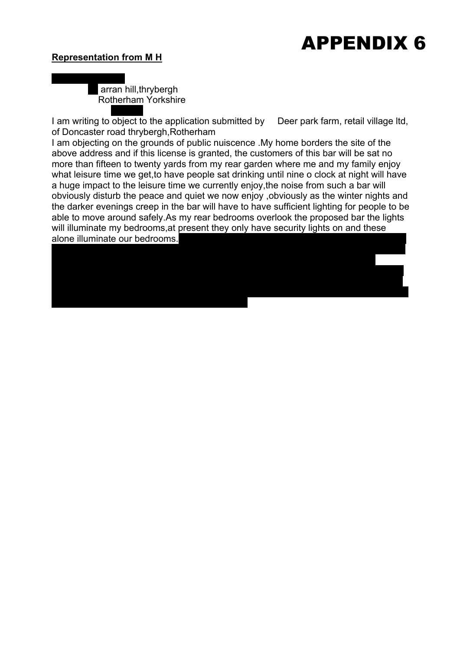#### **Representation from M H**

S654bh

Maynard hickman arran hill, thrybergh Rotherham Yorkshire

got already without allowing more traffic on to it.

I am writing to object to the application submitted by Deer park farm, retail village Itd, of Doncaster road thrybergh,Rotherham

I am objecting on the grounds of public nuiscence .My home borders the site of the above address and if this license is granted, the customers of this bar will be sat no more than fifteen to twenty yards from my rear garden where me and my family enjoy what leisure time we get, to have people sat drinking until nine o clock at night will have a huge impact to the leisure time we currently enjoy,the noise from such a bar will obviously disturb the peace and quiet we now enjoy ,obviously as the winter nights and the darker evenings creep in the bar will have to have sufficient lighting for people to be able to move around safely.As my rear bedrooms overlook the proposed bar the lights will illuminate my bedrooms, at present they only have security lights on and these alone illuminate our bedrooms.

submitted is a accident waiting to happen,anyone coming down arran hill towards park

premises is blind as to what is coming down arran hill,I understand there have already been issues with this but as wether you are aware or not I don't know,but it is not safe and as there are two school entrances on the street it has all on coping with what it has

lane has to go past the entrance/exit to the premises and anyone leaving these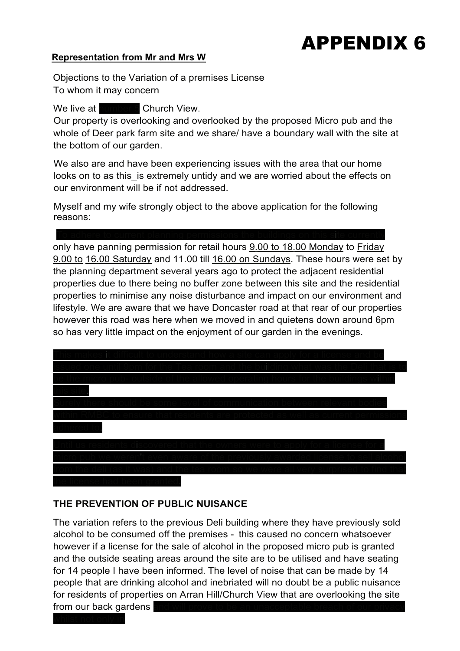#### **Representation from Mr and Mrs W**

Objections to the Variation of a premises License To whom it may concern

#### We live at **number 6** Church View.

Our property is overlooking and overlooked by the proposed Micro pub and the whole of Deer park farm site and we share/ have a boundary wall with the site at the bottom of our garden.

We also are and have been experiencing issues with the area that our home looks on to as this is extremely untidy and we are worried about the effects on our environment will be if not addressed.

Myself and my wife strongly object to the above application for the following reasons:

### To adhere to current planning permissions the buildings on this site currently

only have panning permission for retail hours 9.00 to 18.00 Monday to Friday 9.00 to 16.00 Saturday and 11.00 till 16.00 on Sundays. These hours were set by the planning department several years ago to protect the adjacent residential properties due to there being no buffer zone between this site and the residential properties to minimise any noise disturbance and impact on our environment and lifestyle. We are aware that we have Doncaster road at that rear of our properties however this road was here when we moved in and quietens down around 6pm so has very little impact on the enjoyment of our garden in the evenings.



#### **THE PREVENTION OF PUBLIC NUISANCE**

whilst not only in

The variation refers to the previous Deli building where they have previously sold alcohol to be consumed off the premises - this caused no concern whatsoever however if a license for the sale of alcohol in the proposed micro pub is granted and the outside seating areas around the site are to be utilised and have seating for 14 people I have been informed. The level of noise that can be made by 14 people that are drinking alcohol and inebriated will no doubt be a public nuisance for residents of properties on Arran Hill/Church View that are overlooking the site from our back gardens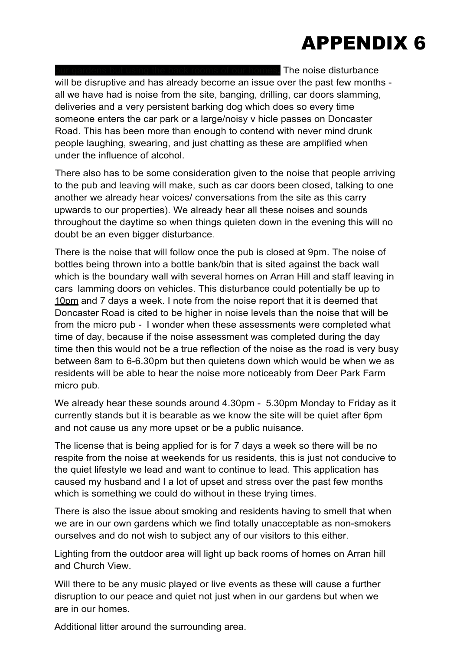The noise disturbance

will be disruptive and has already become an issue over the past few months all we have had is noise from the site, banging, drilling, car doors slamming, deliveries and a very persistent barking dog which does so every time someone enters the car park or a large/noisy v hicle passes on Doncaster Road. This has been more than enough to contend with never mind drunk people laughing, swearing, and just chatting as these are amplified when under the influence of alcohol.

There also has to be some consideration given to the noise that people arriving to the pub and leaving will make, such as car doors been closed, talking to one another we already hear voices/ conversations from the site as this carry upwards to our properties). We already hear all these noises and sounds throughout the daytime so when things quieten down in the evening this will no doubt be an even bigger disturbance.

There is the noise that will follow once the pub is closed at 9pm. The noise of bottles being thrown into a bottle bank/bin that is sited against the back wall which is the boundary wall with several homes on Arran Hill and staff leaving in cars lamming doors on vehicles. This disturbance could potentially be up to 10pm and 7 days a week. I note from the noise report that it is deemed that Doncaster Road is cited to be higher in noise levels than the noise that will be from the micro pub - I wonder when these assessments were completed what time of day, because if the noise assessment was completed during the day time then this would not be a true reflection of the noise as the road is very busy between 8am to 6-6.30pm but then quietens down which would be when we as residents will be able to hear the noise more noticeably from Deer Park Farm micro pub.

We already hear these sounds around 4.30pm - 5.30pm Monday to Friday as it currently stands but it is bearable as we know the site will be quiet after 6pm and not cause us any more upset or be a public nuisance.

The license that is being applied for is for 7 days a week so there will be no respite from the noise at weekends for us residents, this is just not conducive to the quiet lifestyle we lead and want to continue to lead. This application has caused my husband and I a lot of upset and stress over the past few months which is something we could do without in these trying times.

There is also the issue about smoking and residents having to smell that when we are in our own gardens which we find totally unacceptable as non-smokers ourselves and do not wish to subject any of our visitors to this either.

Lighting from the outdoor area will light up back rooms of homes on Arran hill and Church View.

Will there to be any music played or live events as these will cause a further disruption to our peace and quiet not just when in our gardens but when we are in our homes.

Additional litter around the surrounding area.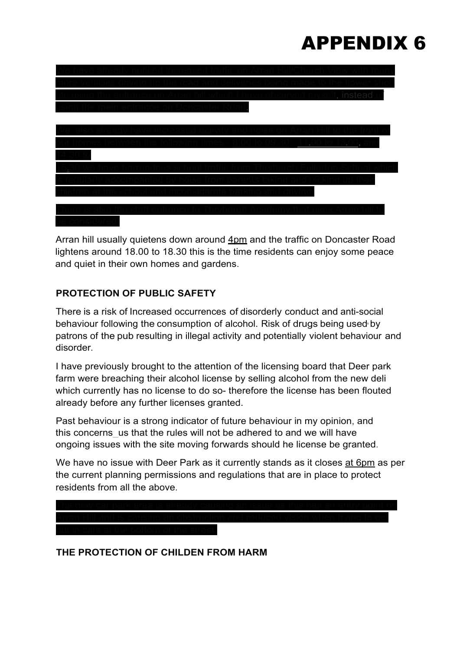| self, instead of |
|------------------|
|                  |
|                  |
|                  |
|                  |
|                  |
|                  |
|                  |
|                  |
|                  |
|                  |

Arran hill usually quietens down around 4pm and the traffic on Doncaster Road lightens around 18.00 to 18.30 this is the time residents can enjoy some peace and quiet in their own homes and gardens.

#### **PROTECTION OF PUBLIC SAFETY**

There is a risk of Increased occurrences of disorderly conduct and anti-social behaviour following the consumption of alcohol. Risk of drugs being used• by patrons of the pub resulting in illegal activity and potentially violent behaviour and disorder.

I have previously brought to the attention of the licensing board that Deer park farm were breaching their alcohol license by selling alcohol from the new deli which currently has no license to do so- therefore the license has been flouted already before any further licenses granted.

Past behaviour is a strong indicator of future behaviour in my opinion, and this concerns\_us that the rules will not be adhered to and we will have ongoing issues with the site moving forwards should he license be granted.

We have no issue with Deer Park as it currently stands as it closes at 6pm as per the current planning permissions and regulations that are in place to protect residents from all the above.



**THE PROTECTION OF CHILDEN FROM HARM**